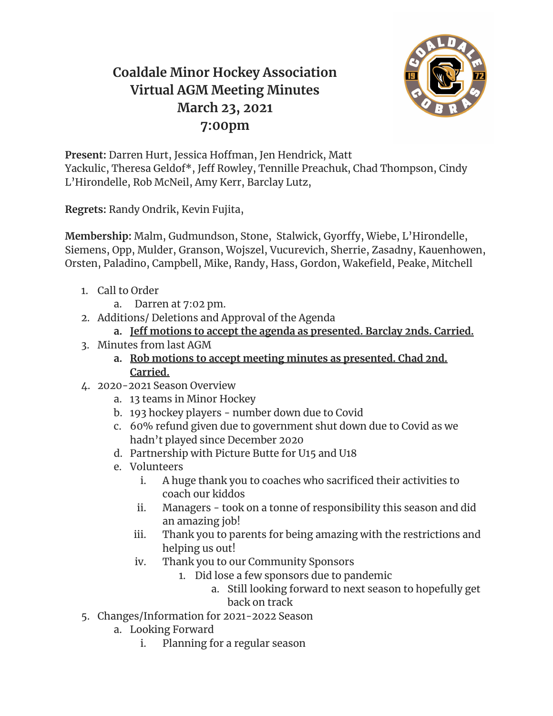## **Coaldale Minor Hockey Association Virtual AGM Meeting Minutes March 23, 2021 7:00pm**



**Present:** Darren Hurt, Jessica Hoffman, Jen Hendrick, Matt Yackulic, Theresa Geldof\*, Jeff Rowley, Tennille Preachuk, Chad Thompson, Cindy L'Hirondelle, Rob McNeil, Amy Kerr, Barclay Lutz,

**Regrets:** Randy Ondrik, Kevin Fujita,

**Membership:** Malm, Gudmundson, Stone, Stalwick, Gyorffy, Wiebe, L'Hirondelle, Siemens, Opp, Mulder, Granson, Wojszel, Vucurevich, Sherrie, Zasadny, Kauenhowen, Orsten, Paladino, Campbell, Mike, Randy, Hass, Gordon, Wakefield, Peake, Mitchell

- 1. Call to Order
	- a. Darren at 7:02 pm.
- 2. Additions/ Deletions and Approval of the Agenda
	- **a. Jeff motions to accept the agenda as presented. Barclay 2nds. Carried.**
- 3. Minutes from last AGM
	- **a. Rob motions to accept meeting minutes as presented. Chad 2nd. Carried.**
- 4. 2020-2021 Season Overview
	- a. 13 teams in Minor Hockey
	- b. 193 hockey players number down due to Covid
	- c. 60% refund given due to government shut down due to Covid as we hadn't played since December 2020
	- d. Partnership with Picture Butte for U15 and U18
	- e. Volunteers
		- i. A huge thank you to coaches who sacrificed their activities to coach our kiddos
		- ii. Managers took on a tonne of responsibility this season and did an amazing job!
		- iii. Thank you to parents for being amazing with the restrictions and helping us out!
		- iv. Thank you to our Community Sponsors
			- 1. Did lose a few sponsors due to pandemic
				- a. Still looking forward to next season to hopefully get back on track
- 5. Changes/Information for 2021-2022 Season
	- a. Looking Forward
		- i. Planning for a regular season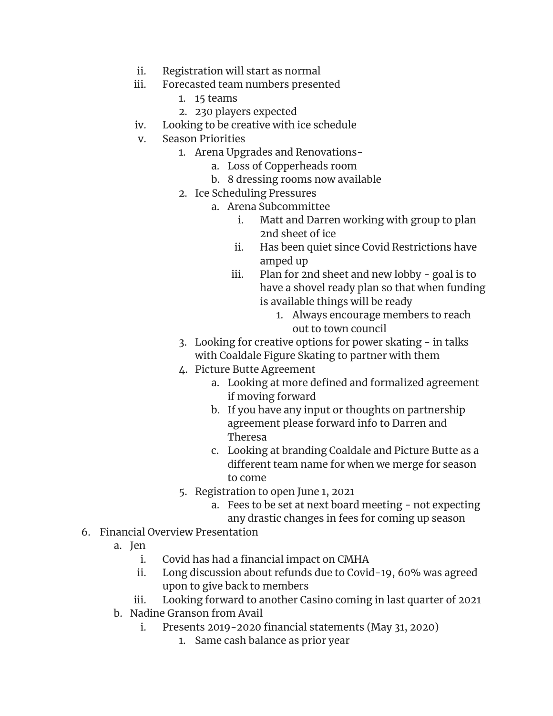- ii. Registration will start as normal
- iii. Forecasted team numbers presented
	- 1. 15 teams
	- 2. 230 players expected
- iv. Looking to be creative with ice schedule
- v. Season Priorities
	- 1. Arena Upgrades and Renovations
		- a. Loss of Copperheads room
		- b. 8 dressing rooms now available
	- 2. Ice Scheduling Pressures
		- a. Arena Subcommittee
			- i. Matt and Darren working with group to plan 2nd sheet of ice
			- ii. Has been quiet since Covid Restrictions have amped up
			- iii. Plan for 2nd sheet and new lobby goal is to have a shovel ready plan so that when funding is available things will be ready
				- 1. Always encourage members to reach out to town council
	- 3. Looking for creative options for power skating in talks with Coaldale Figure Skating to partner with them
	- 4. Picture Butte Agreement
		- a. Looking at more defined and formalized agreement if moving forward
		- b. If you have any input or thoughts on partnership agreement please forward info to Darren and Theresa
		- c. Looking at branding Coaldale and Picture Butte as a different team name for when we merge for season to come
	- 5. Registration to open June 1, 2021
		- a. Fees to be set at next board meeting not expecting any drastic changes in fees for coming up season
- 6. Financial Overview Presentation
	- a. Jen
		- i. Covid has had a financial impact on CMHA
		- ii. Long discussion about refunds due to Covid-19, 60% was agreed upon to give back to members
		- iii. Looking forward to another Casino coming in last quarter of 2021
	- b. Nadine Granson from Avail
		- i. Presents 2019-2020 financial statements (May 31, 2020)
			- 1. Same cash balance as prior year